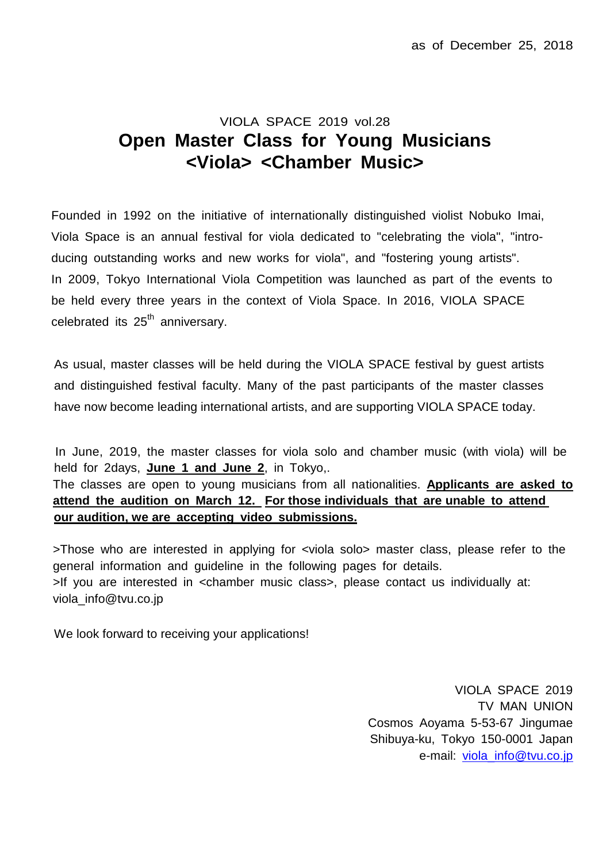## VIOLA SPACE 2019 vol.28 **Open Master Class for Young Musicians <Viola> <Chamber Music>**

Founded in 1992 on the initiative of internationally distinguished violist Nobuko Imai, Viola Space is an annual festival for viola dedicated to "celebrating the viola", "introducing outstanding works and new works for viola", and "fostering young artists". In 2009, Tokyo International Viola Competition was launched as part of the events to be held every three years in the context of Viola Space. In 2016, VIOLA SPACE celebrated its  $25<sup>th</sup>$  anniversary.

As usual, master classes will be held during the VIOLA SPACE festival by guest artists and distinguished festival faculty. Many of the past participants of the master classes have now become leading international artists, and are supporting VIOLA SPACE today.

In June, 2019, the master classes for viola solo and chamber music (with viola) will be held for 2days, **June 1 and June 2**, in Tokyo,.

The classes are open to young musicians from all nationalities. **Applicants are asked to attend the audition on March 12. For those individuals that are unable to attend our audition, we are accepting video submissions.**

>Those who are interested in applying for <viola solo> master class, please refer to the general information and guideline in the following pages for details. >If you are interested in <chamber music class>, please contact us individually at: viola\_info@tvu.co.jp

We look forward to receiving your applications!

VIOLA SPACE 2019 TV MAN UNION Cosmos Aoyama 5-53-67 Jingumae Shibuya-ku, Tokyo 150-0001 Japan e-mail: [viola\\_info@tvu.co.jp](mailto:viola_info@tvu.co.jp)